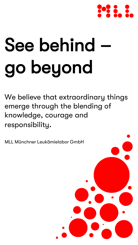

# See behind go beyond

We believe that extraordinary things emerge through the blending of knowledge, courage and responsibility.

MLL Münchner Leukämielabor GmbH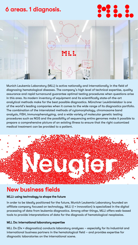## 6 areas. 1 diagnosis.

## **PARTIES**



Munich Leukemia Laboratory (MLL) is active nationally and internationally in the field of diagnosing hematological diseases. The company's high level of technical expertise, quality assurance and rapid turnaround guarantee optimal testing procedures when questions arise in this area. Its modern inventory of equipment and its scientifically state-of-the-art analytical methods make for the best possible diagnostics. Münchner Leukämielabor is one of the world's leading companies when it comes to the wide range of its diagnostics portfolio. The combination of the interrelated methods of cytomorphology, chromosome band analysis, FISH, immunophenotyping, and a wide variety of molecular genetic testing procedures such as NGS and the possibility of sequencing entire genomes make it possible to prepare a comprehensive picture of an existing illness to ensure that the right customized medical treatment can be provided to a patient.



## New business fields

#### MLLi: using technology to shape the future

In order to be ideally positioned for the future, Munich Leukemia Laboratory founded an affiliate company focused on technology. MLLi (i = innovation) is specialized in the digital processing of data from leukemia diagnostics. Among other things, MLLi offers web-based tools to provide interpretations of data for the diagnosis of hematological neoplasias.

#### MLL Dx: international laboratory expertise

MLL Dx (Dx = diagnostics) conducts laboratory analyses – especially for its industrial and international business partners in the hematological field – and provides expertise for diagnostic laboratories on the international scene.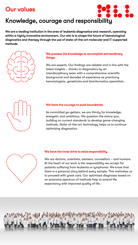## Our values

## Knowledge, courage and responsibility

We are a leading institution in the area of leukemia diagnostics and research, operating within a highly innovative environment. Our aim is to shape the future of hematological diagnostics and therapy through the use of state-of-the-art molecular and IT-supported methods.



#### We possess the knowledge to accomplish extraordinary things.

 $\frac{1}{2}$ 

We are experts. Our findings are reliable and in line with the latest insights – thanks to diagnostics by an interdisciplinary team with a comprehensive scientific background and decades of experience as practicing hematologists, geneticists and bioinformatics specialists.



#### We have the courage to push boundaries.

As committed go-getters, we are thirsty for knowledge, energetic and ambitious. We question the status quo, building on current standards to develop game-changing methods. State-of-the-art technology helps us to continue optimizing diagnostics.



#### We have the inner drive to seize responsibility.

We are doctors, scientists, advisers, counsellors – and humans. At the heart of our work is the responsibility we accept for patients suffering from leukemia or lymphoma: We know that there is a personal story behind every sample. This motivates us to proceed with great care. Our optimized diagnoses based on an extensive spectrum of methods help to extend life expectancy with improved quality of life.

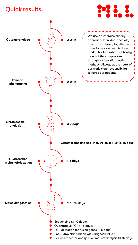## Quick results.



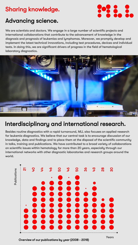## Sharing knowledge.



## Advancing science.

We are scientists and doctors. We engage in a large number of scientific projects and international collaborations that contribute to the advancement of knowledge in the diagnosis and prognosis of leukemias and lymphomas. Moreover, we promptly develop and implement the latest technical innovations, including test procedures, devices and individual tests. In doing this, we are significant drivers of progress in the field of hematological laboratory diagnostics.



## Interdisciplinary and international research.

Besides routine diagnostics with a rapid turnaround, MLL also focuses on applied research for leukemia diagnostics. We believe that our central task is to encourage discussion of our knowledge, data and findings and to place them at the disposal of the scientific community in talks, training and publications. We have contributed to a broad variety of collaborations on scientific issues within hematology for more than 20 years, especially through our international networks with other diagnostic laboratories and research groups around the world.



Overview of our publications by year (2008 - 2018)